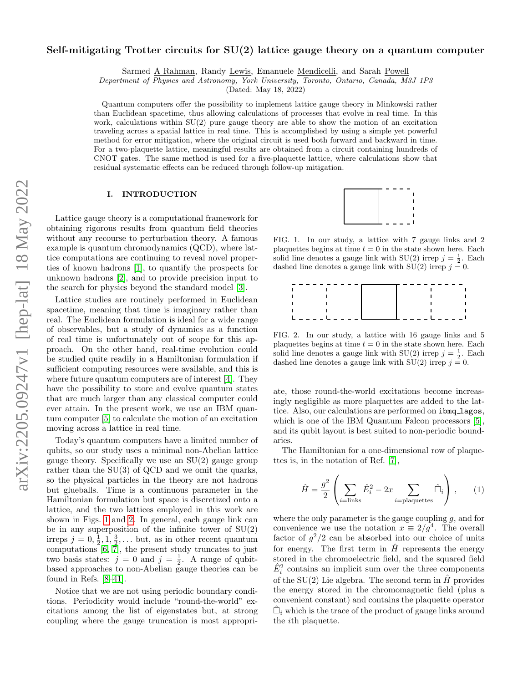# Self-mitigating Trotter circuits for SU(2) lattice gauge theory on a quantum computer

Sarmed A Rahman, Randy Lewis, Emanuele Mendicelli, and Sarah Powell

Department of Physics and Astronomy, York University, Toronto, Ontario, Canada, M3J 1P3

(Dated: May 18, 2022)

Quantum computers offer the possibility to implement lattice gauge theory in Minkowski rather than Euclidean spacetime, thus allowing calculations of processes that evolve in real time. In this work, calculations within  $SU(2)$  pure gauge theory are able to show the motion of an excitation traveling across a spatial lattice in real time. This is accomplished by using a simple yet powerful method for error mitigation, where the original circuit is used both forward and backward in time. For a two-plaquette lattice, meaningful results are obtained from a circuit containing hundreds of CNOT gates. The same method is used for a five-plaquette lattice, where calculations show that residual systematic effects can be reduced through follow-up mitigation.

# I. INTRODUCTION

Lattice gauge theory is a computational framework for obtaining rigorous results from quantum field theories without any recourse to perturbation theory. A famous example is quantum chromodynamics (QCD), where lattice computations are continuing to reveal novel properties of known hadrons [\[1\]](#page-7-0), to quantify the prospects for unknown hadrons [\[2\]](#page-7-1), and to provide precision input to the search for physics beyond the standard model [\[3\]](#page-7-2).

Lattice studies are routinely performed in Euclidean spacetime, meaning that time is imaginary rather than real. The Euclidean formulation is ideal for a wide range of observables, but a study of dynamics as a function of real time is unfortunately out of scope for this approach. On the other hand, real-time evolution could be studied quite readily in a Hamiltonian formulation if sufficient computing resources were available, and this is where future quantum computers are of interest [\[4\]](#page-7-3). They have the possibility to store and evolve quantum states that are much larger than any classical computer could ever attain. In the present work, we use an IBM quantum computer [\[5\]](#page-7-4) to calculate the motion of an excitation moving across a lattice in real time.

Today's quantum computers have a limited number of qubits, so our study uses a minimal non-Abelian lattice gauge theory. Specifically we use an  $SU(2)$  gauge group rather than the  $SU(3)$  of QCD and we omit the quarks, so the physical particles in the theory are not hadrons but glueballs. Time is a continuous parameter in the Hamiltonian formulation but space is discretized onto a lattice, and the two lattices employed in this work are shown in Figs. [1](#page-0-0) and [2.](#page-0-1) In general, each gauge link can be in any superposition of the infinite tower of  $SU(2)$ irreps  $j = 0, \frac{1}{2}, 1, \frac{3}{2}, \dots$  but, as in other recent quantum computations  $[6, 7]$  $[6, 7]$ , the present study truncates to just two basis states:  $j = 0$  and  $j = \frac{1}{2}$ . A range of qubitbased approaches to non-Abelian gauge theories can be found in Refs. [\[8](#page-7-7)[–41\]](#page-9-0).

Notice that we are not using periodic boundary conditions. Periodicity would include "round-the-world" excitations among the list of eigenstates but, at strong coupling where the gauge truncation is most appropri-



<span id="page-0-0"></span>FIG. 1. In our study, a lattice with 7 gauge links and 2 plaquettes begins at time  $t = 0$  in the state shown here. Each solid line denotes a gauge link with  $SU(2)$  irrep  $j = \frac{1}{2}$ . Each dashed line denotes a gauge link with  $SU(2)$  irrep  $j = 0$ .



<span id="page-0-1"></span>FIG. 2. In our study, a lattice with 16 gauge links and 5 plaquettes begins at time  $t = 0$  in the state shown here. Each solid line denotes a gauge link with  $SU(2)$  irrep  $j = \frac{1}{2}$ . Each dashed line denotes a gauge link with  $SU(2)$  irrep  $j = 0$ .

ate, those round-the-world excitations become increasingly negligible as more plaquettes are added to the lattice. Also, our calculations are performed on ibmq lagos, which is one of the IBM Quantum Falcon processors [\[5\]](#page-7-4), and its qubit layout is best suited to non-periodic boundaries.

The Hamiltonian for a one-dimensional row of plaquettes is, in the notation of Ref. [\[7\]](#page-7-6),

<span id="page-0-2"></span>
$$
\hat{H} = \frac{g^2}{2} \left( \sum_{i=\text{links}} \hat{E}_i^2 - 2x \sum_{i=\text{plaquettes}} \hat{\Box}_i \right), \qquad (1)
$$

where the only parameter is the gauge coupling  $g$ , and for convenience we use the notation  $x \equiv 2/g^4$ . The overall factor of  $g^2/2$  can be absorbed into our choice of units for energy. The first term in  $\hat{H}$  represents the energy stored in the chromoelectric field, and the squared field  $\hat{E}_i^2$  contains an implicit sum over the three components of the SU(2) Lie algebra. The second term in  $\hat{H}$  provides the energy stored in the chromomagnetic field (plus a convenient constant) and contains the plaquette operator  $\hat{\Box}_i$  which is the trace of the product of gauge links around the ith plaquette.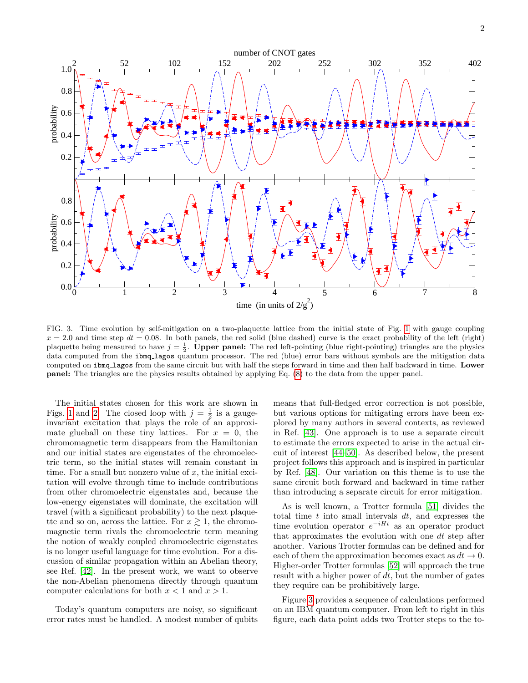

<span id="page-1-0"></span>FIG. 3. Time evolution by self-mitigation on a two-plaquette lattice from the initial state of Fig. [1](#page-0-0) with gauge coupling  $x = 2.0$  and time step  $dt = 0.08$ . In both panels, the red solid (blue dashed) curve is the exact probability of the left (right) plaquette being measured to have  $j = \frac{1}{2}$ . Upper panel: The red left-pointing (blue right-pointing) triangles are the physics data computed from the ibmq lagos quantum processor. The red (blue) error bars without symbols are the mitigation data computed on ibmq lagos from the same circuit but with half the steps forward in time and then half backward in time. Lower panel: The triangles are the physics results obtained by applying Eq. [\(8\)](#page-3-0) to the data from the upper panel.

The initial states chosen for this work are shown in Figs. [1](#page-0-0) and [2.](#page-0-1) The closed loop with  $j = \frac{1}{2}$  is a gaugeinvariant excitation that plays the role of an approximate glueball on these tiny lattices. For  $x = 0$ , the chromomagnetic term disappears from the Hamiltonian and our initial states are eigenstates of the chromoelectric term, so the initial states will remain constant in time. For a small but nonzero value of  $x$ , the initial excitation will evolve through time to include contributions from other chromoelectric eigenstates and, because the low-energy eigenstates will dominate, the excitation will travel (with a significant probability) to the next plaquette and so on, across the lattice. For  $x \gtrsim 1$ , the chromomagnetic term rivals the chromoelectric term meaning the notion of weakly coupled chromoelectric eigenstates is no longer useful language for time evolution. For a discussion of similar propagation within an Abelian theory, see Ref. [\[42\]](#page-9-1). In the present work, we want to observe the non-Abelian phenomena directly through quantum computer calculations for both  $x < 1$  and  $x > 1$ .

Today's quantum computers are noisy, so significant error rates must be handled. A modest number of qubits

means that full-fledged error correction is not possible, but various options for mitigating errors have been explored by many authors in several contexts, as reviewed in Ref. [\[43\]](#page-9-2). One approach is to use a separate circuit to estimate the errors expected to arise in the actual circuit of interest [\[44](#page-9-3)[–50\]](#page-9-4). As described below, the present project follows this approach and is inspired in particular by Ref. [\[48\]](#page-9-5). Our variation on this theme is to use the same circuit both forward and backward in time rather than introducing a separate circuit for error mitigation.

As is well known, a Trotter formula [\[51\]](#page-9-6) divides the total time  $t$  into small intervals  $dt$ , and expresses the time evolution operator  $e^{-iHt}$  as an operator product that approximates the evolution with one  $dt$  step after another. Various Trotter formulas can be defined and for each of them the approximation becomes exact as  $dt \rightarrow 0$ . Higher-order Trotter formulas [\[52\]](#page-9-7) will approach the true result with a higher power of  $dt$ , but the number of gates they require can be prohibitively large.

Figure [3](#page-1-0) provides a sequence of calculations performed on an IBM quantum computer. From left to right in this figure, each data point adds two Trotter steps to the to-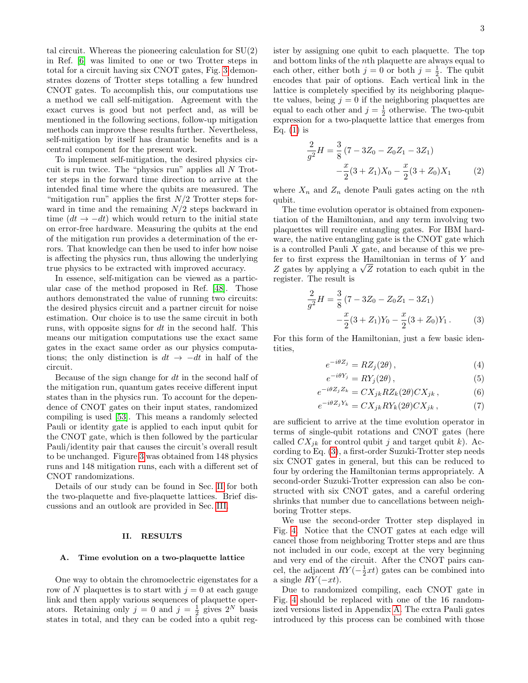3

tal circuit. Whereas the pioneering calculation for  $SU(2)$ in Ref. [\[6\]](#page-7-5) was limited to one or two Trotter steps in total for a circuit having six CNOT gates, Fig. [3](#page-1-0) demonstrates dozens of Trotter steps totalling a few hundred CNOT gates. To accomplish this, our computations use a method we call self-mitigation. Agreement with the exact curves is good but not perfect and, as will be mentioned in the following sections, follow-up mitigation methods can improve these results further. Nevertheless, self-mitigation by itself has dramatic benefits and is a central component for the present work.

To implement self-mitigation, the desired physics circuit is run twice. The "physics run" applies all N Trotter steps in the forward time direction to arrive at the intended final time where the qubits are measured. The "mitigation run" applies the first  $N/2$  Trotter steps forward in time and the remaining  $N/2$  steps backward in time  $(dt \rightarrow -dt)$  which would return to the initial state on error-free hardware. Measuring the qubits at the end of the mitigation run provides a determination of the errors. That knowledge can then be used to infer how noise is affecting the physics run, thus allowing the underlying true physics to be extracted with improved accuracy.

In essence, self-mitigation can be viewed as a particular case of the method proposed in Ref. [\[48\]](#page-9-5). Those authors demonstrated the value of running two circuits: the desired physics circuit and a partner circuit for noise estimation. Our choice is to use the same circuit in both runs, with opposite signs for  $dt$  in the second half. This means our mitigation computations use the exact same gates in the exact same order as our physics computations; the only distinction is  $dt \rightarrow -dt$  in half of the circuit.

Because of the sign change for dt in the second half of the mitigation run, quantum gates receive different input states than in the physics run. To account for the dependence of CNOT gates on their input states, randomized compiling is used [\[53\]](#page-9-8). This means a randomly selected Pauli or identity gate is applied to each input qubit for the CNOT gate, which is then followed by the particular Pauli/identity pair that causes the circuit's overall result to be unchanged. Figure [3](#page-1-0) was obtained from 148 physics runs and 148 mitigation runs, each with a different set of CNOT randomizations.

Details of our study can be found in Sec. [II](#page-2-0) for both the two-plaquette and five-plaquette lattices. Brief discussions and an outlook are provided in Sec. [III.](#page-6-0)

# <span id="page-2-0"></span>II. RESULTS

# A. Time evolution on a two-plaquette lattice

One way to obtain the chromoelectric eigenstates for a row of N plaquettes is to start with  $j = 0$  at each gauge link and then apply various sequences of plaquette operators. Retaining only  $j = 0$  and  $j = \frac{1}{2}$  gives  $2^N$  basis states in total, and they can be coded into a qubit register by assigning one qubit to each plaquette. The top and bottom links of the nth plaquette are always equal to each other, either both  $j = 0$  or both  $j = \frac{1}{2}$ . The qubit encodes that pair of options. Each vertical link in the lattice is completely specified by its neighboring plaquette values, being  $j = 0$  if the neighboring plaquettes are equal to each other and  $j = \frac{1}{2}$  otherwise. The two-qubit expression for a two-plaquette lattice that emerges from Eq.  $(1)$  is

<span id="page-2-2"></span>
$$
\frac{2}{g^2}H = \frac{3}{8}(7 - 3Z_0 - Z_0Z_1 - 3Z_1) -\frac{x}{2}(3 + Z_1)X_0 - \frac{x}{2}(3 + Z_0)X_1
$$
\n(2)

where  $X_n$  and  $Z_n$  denote Pauli gates acting on the nth qubit.

The time evolution operator is obtained from exponentiation of the Hamiltonian, and any term involving two plaquettes will require entangling gates. For IBM hardware, the native entangling gate is the CNOT gate which is a controlled Pauli  $X$  gate, and because of this we prefer to first express the Hamiltonian in terms of Y and Z gates by applying a  $\sqrt{Z}$  rotation to each qubit in the register. The result is

<span id="page-2-1"></span>
$$
\frac{2}{g^2}H = \frac{3}{8}(7 - 3Z_0 - Z_0Z_1 - 3Z_1) -\frac{x}{2}(3 + Z_1)Y_0 - \frac{x}{2}(3 + Z_0)Y_1.
$$
 (3)

For this form of the Hamiltonian, just a few basic identities,

$$
e^{-i\theta Z_j} = RZ_j(2\theta),\tag{4}
$$

$$
e^{-i\theta Y_j} = R Y_j(2\theta), \qquad (5)
$$

$$
e^{-i\theta Z_j Z_k} = C X_{jk} R Z_k(2\theta) C X_{jk}, \qquad (6)
$$

$$
e^{-i\theta Z_j Y_k} = C X_{jk} R Y_k(2\theta) C X_{jk}, \qquad (7)
$$

are sufficient to arrive at the time evolution operator in terms of single-qubit rotations and CNOT gates (here called  $CX_{ik}$  for control qubit j and target qubit k). According to Eq. [\(3\)](#page-2-1), a first-order Suzuki-Trotter step needs six CNOT gates in general, but this can be reduced to four by ordering the Hamiltonian terms appropriately. A second-order Suzuki-Trotter expression can also be constructed with six CNOT gates, and a careful ordering shrinks that number due to cancellations between neighboring Trotter steps.

We use the second-order Trotter step displayed in Fig. [4.](#page-3-1) Notice that the CNOT gates at each edge will cancel those from neighboring Trotter steps and are thus not included in our code, except at the very beginning and very end of the circuit. After the CNOT pairs cancel, the adjacent  $RY(-\frac{1}{2}xt)$  gates can be combined into a single  $RY(-xt)$ .

Due to randomized compiling, each CNOT gate in Fig. [4](#page-3-1) should be replaced with one of the 16 randomized versions listed in Appendix [A.](#page-6-1) The extra Pauli gates introduced by this process can be combined with those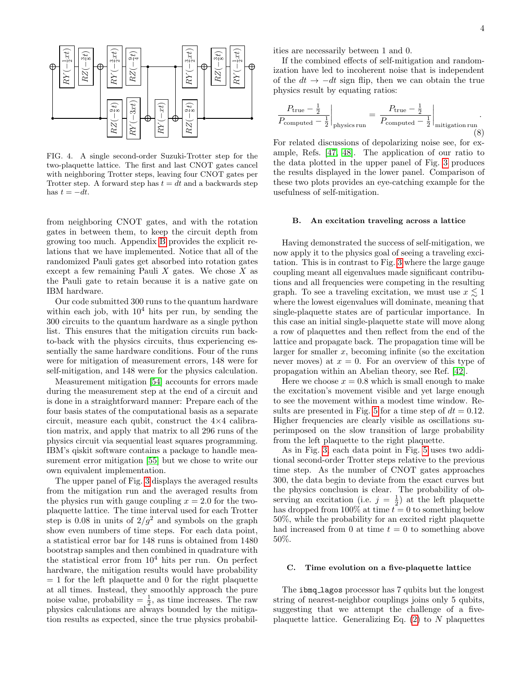

<span id="page-3-1"></span>FIG. 4. A single second-order Suzuki-Trotter step for the two-plaquette lattice. The first and last CNOT gates cancel with neighboring Trotter steps, leaving four CNOT gates per Trotter step. A forward step has  $t = dt$  and a backwards step has  $t = -dt$ .

from neighboring CNOT gates, and with the rotation gates in between them, to keep the circuit depth from growing too much. Appendix [B](#page-7-8) provides the explicit relations that we have implemented. Notice that all of the randomized Pauli gates get absorbed into rotation gates except a few remaining Pauli  $X$  gates. We chose  $X$  as the Pauli gate to retain because it is a native gate on IBM hardware.

Our code submitted 300 runs to the quantum hardware within each job, with  $10^4$  hits per run, by sending the 300 circuits to the quantum hardware as a single python list. This ensures that the mitigation circuits run backto-back with the physics circuits, thus experiencing essentially the same hardware conditions. Four of the runs were for mitigation of measurement errors, 148 were for self-mitigation, and 148 were for the physics calculation.

Measurement mitigation [\[54\]](#page-9-9) accounts for errors made during the measurement step at the end of a circuit and is done in a straightforward manner: Prepare each of the four basis states of the computational basis as a separate circuit, measure each qubit, construct the  $4\times4$  calibration matrix, and apply that matrix to all 296 runs of the physics circuit via sequential least squares programming. IBM's qiskit software contains a package to handle measurement error mitigation [\[55\]](#page-9-10) but we chose to write our own equivalent implementation.

The upper panel of Fig. [3](#page-1-0) displays the averaged results from the mitigation run and the averaged results from the physics run with gauge coupling  $x = 2.0$  for the twoplaquette lattice. The time interval used for each Trotter step is 0.08 in units of  $2/q^2$  and symbols on the graph show even numbers of time steps. For each data point, a statistical error bar for 148 runs is obtained from 1480 bootstrap samples and then combined in quadrature with the statistical error from  $10^4$  hits per run. On perfect hardware, the mitigation results would have probability  $= 1$  for the left plaquette and 0 for the right plaquette at all times. Instead, they smoothly approach the pure noise value, probability =  $\frac{1}{2}$ , as time increases. The raw physics calculations are always bounded by the mitigation results as expected, since the true physics probabilities are necessarily between 1 and 0.

If the combined effects of self-mitigation and randomization have led to incoherent noise that is independent of the  $dt \rightarrow -dt$  sign flip, then we can obtain the true physics result by equating ratios:

<span id="page-3-0"></span>
$$
\frac{P_{\text{true}} - \frac{1}{2}}{P_{\text{computed}} - \frac{1}{2}}\Big|_{\text{physics run}} = \frac{P_{\text{true}} - \frac{1}{2}}{P_{\text{computed}} - \frac{1}{2}}\Big|_{\text{mitigation run}}.
$$
\n(8)

For related discussions of depolarizing noise see, for example, Refs. [\[47,](#page-9-11) [48\]](#page-9-5). The application of our ratio to the data plotted in the upper panel of Fig. [3](#page-1-0) produces the results displayed in the lower panel. Comparison of these two plots provides an eye-catching example for the usefulness of self-mitigation.

### B. An excitation traveling across a lattice

Having demonstrated the success of self-mitigation, we now apply it to the physics goal of seeing a traveling excitation. This is in contrast to Fig. [3](#page-1-0) where the large gauge coupling meant all eigenvalues made significant contributions and all frequencies were competing in the resulting graph. To see a traveling excitation, we must use  $x \lesssim 1$ where the lowest eigenvalues will dominate, meaning that single-plaquette states are of particular importance. In this case an initial single-plaquette state will move along a row of plaquettes and then reflect from the end of the lattice and propagate back. The propagation time will be larger for smaller  $x$ , becoming infinite (so the excitation never moves) at  $x = 0$ . For an overview of this type of propagation within an Abelian theory, see Ref. [\[42\]](#page-9-1).

Here we choose  $x = 0.8$  which is small enough to make the excitation's movement visible and yet large enough to see the movement within a modest time window. Re-sults are presented in Fig. [5](#page-4-0) for a time step of  $dt = 0.12$ . Higher frequencies are clearly visible as oscillations superimposed on the slow transition of large probability from the left plaquette to the right plaquette.

As in Fig. [3,](#page-1-0) each data point in Fig. [5](#page-4-0) uses two additional second-order Trotter steps relative to the previous time step. As the number of CNOT gates approaches 300, the data begin to deviate from the exact curves but the physics conclusion is clear. The probability of observing an excitation (i.e.  $j = \frac{1}{2}$ ) at the left plaquette has dropped from 100% at time  $t = 0$  to something below 50%, while the probability for an excited right plaquette had increased from 0 at time  $t = 0$  to something above 50%.

#### C. Time evolution on a five-plaquette lattice

The ibmq lagos processor has 7 qubits but the longest string of nearest-neighbor couplings joins only 5 qubits, suggesting that we attempt the challenge of a fiveplaquette lattice. Generalizing Eq.  $(2)$  to N plaquettes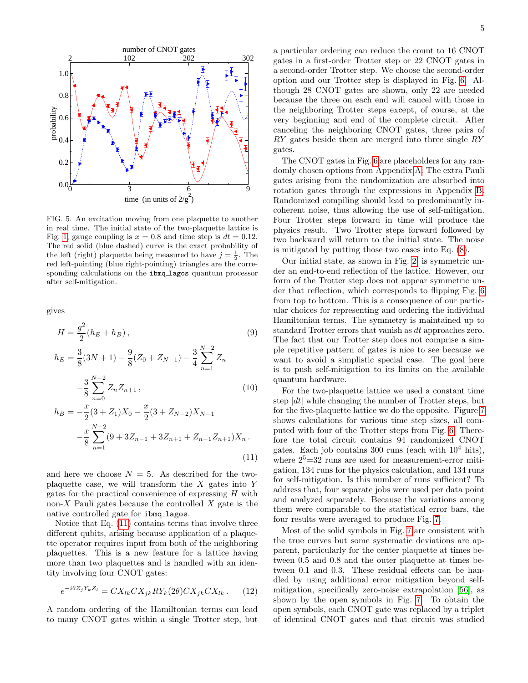

<span id="page-4-0"></span>FIG. 5. An excitation moving from one plaquette to another in real time. The initial state of the two-plaquette lattice is Fig. [1,](#page-0-0) gauge coupling is  $x = 0.8$  and time step is  $dt = 0.12$ . The red solid (blue dashed) curve is the exact probability of the left (right) plaquette being measured to have  $j = \frac{1}{2}$ . The red left-pointing (blue right-pointing) triangles are the corresponding calculations on the ibmq lagos quantum processor after self-mitigation.

gives

<span id="page-4-1"></span>
$$
H = \frac{g^2}{2}(h_E + h_B),
$$
\n
$$
h_E = \frac{3}{8}(3N + 1) - \frac{9}{8}(Z_0 + Z_{N-1}) - \frac{3}{4} \sum_{n=1}^{N-2} Z_n
$$
\n
$$
-\frac{3}{8} \sum_{n=0}^{N-2} Z_n Z_{n+1},
$$
\n
$$
h_B = -\frac{x}{2}(3 + Z_1)X_0 - \frac{x}{2}(3 + Z_{N-2})X_{N-1}
$$
\n
$$
-\frac{x}{8} \sum_{n=1}^{N-2} (9 + 3Z_{n-1} + 3Z_{n+1} + Z_{n-1}Z_{n+1})X_n.
$$
\n(11)

and here we choose  $N = 5$ . As described for the twoplaquette case, we will transform the  $X$  gates into  $Y$ gates for the practical convenience of expressing  $H$  with non-X Pauli gates because the controlled  $X$  gate is the native controlled gate for ibmq lagos.

Notice that Eq. [\(11\)](#page-4-1) contains terms that involve three different qubits, arising because application of a plaquette operator requires input from both of the neighboring plaquettes. This is a new feature for a lattice having more than two plaquettes and is handled with an identity involving four CNOT gates:

$$
e^{-i\theta Z_j Y_k Z_l} = C X_{lk} C X_{jk} R Y_k(2\theta) C X_{jk} C X_{lk} . \tag{12}
$$

A random ordering of the Hamiltonian terms can lead to many CNOT gates within a single Trotter step, but a particular ordering can reduce the count to 16 CNOT gates in a first-order Trotter step or 22 CNOT gates in a second-order Trotter step. We choose the second-order option and our Trotter step is displayed in Fig. [6.](#page-5-0) Although 28 CNOT gates are shown, only 22 are needed because the three on each end will cancel with those in the neighboring Trotter steps except, of course, at the very beginning and end of the complete circuit. After canceling the neighboring CNOT gates, three pairs of RY gates beside them are merged into three single RY gates.

The CNOT gates in Fig. [6](#page-5-0) are placeholders for any randomly chosen options from Appendix [A.](#page-6-1) The extra Pauli gates arising from the randomization are absorbed into rotation gates through the expressions in Appendix [B.](#page-7-8) Randomized compiling should lead to predominantly incoherent noise, thus allowing the use of self-mitigation. Four Trotter steps forward in time will produce the physics result. Two Trotter steps forward followed by two backward will return to the initial state. The noise is mitigated by putting those two cases into Eq. [\(8\)](#page-3-0).

Our initial state, as shown in Fig. [2,](#page-0-1) is symmetric under an end-to-end reflection of the lattice. However, our form of the Trotter step does not appear symmetric under that reflection, which corresponds to flipping Fig. [6](#page-5-0) from top to bottom. This is a consequence of our particular choices for representing and ordering the individual Hamiltonian terms. The symmetry is maintained up to standard Trotter errors that vanish as dt approaches zero. The fact that our Trotter step does not comprise a simple repetitive pattern of gates is nice to see because we want to avoid a simplistic special case. The goal here is to push self-mitigation to its limits on the available quantum hardware.

For the two-plaquette lattice we used a constant time step  $|dt|$  while changing the number of Trotter steps, but for the five-plaquette lattice we do the opposite. Figure [7](#page-5-1) shows calculations for various time step sizes, all computed with four of the Trotter steps from Fig. [6.](#page-5-0) Therefore the total circuit contains 94 randomized CNOT gates. Each job contains 300 runs (each with  $10^4$  hits), where  $2^5 = 32$  runs are used for measurement-error mitigation, 134 runs for the physics calculation, and 134 runs for self-mitigation. Is this number of runs sufficient? To address that, four separate jobs were used per data point and analyzed separately. Because the variations among them were comparable to the statistical error bars, the four results were averaged to produce Fig. [7.](#page-5-1)

Most of the solid symbols in Fig. [7](#page-5-1) are consistent with the true curves but some systematic deviations are apparent, particularly for the center plaquette at times between 0.5 and 0.8 and the outer plaquette at times between 0.1 and 0.3. These residual effects can be handled by using additional error mitigation beyond selfmitigation, specifically zero-noise extrapolation [\[56\]](#page-9-12), as shown by the open symbols in Fig. [7.](#page-5-1) To obtain the open symbols, each CNOT gate was replaced by a triplet of identical CNOT gates and that circuit was studied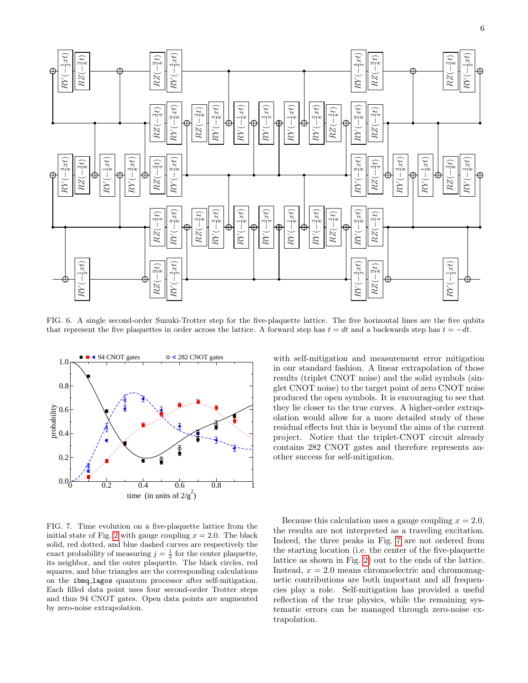

<span id="page-5-0"></span>FIG. 6. A single second-order Suzuki-Trotter step for the five-plaquette lattice. The five horizontal lines are the five qubits that represent the five plaquettes in order across the lattice. A forward step has  $t = dt$  and a backwards step has  $t = -dt$ .



<span id="page-5-1"></span>FIG. 7. Time evolution on a five-plaquette lattice from the initial state of Fig. [2](#page-0-1) with gauge coupling  $x = 2.0$ . The black solid, red dotted, and blue dashed curves are respectively the exact probability of measuring  $j = \frac{1}{2}$  for the center plaquette, its neighbor, and the outer plaquette. The black circles, red squares, and blue triangles are the corresponding calculations on the ibmq lagos quantum processor after self-mitigation. Each filled data point uses four second-order Trotter steps and thus 94 CNOT gates. Open data points are augmented by zero-noise extrapolation.

with self-mitigation and measurement error mitigation in our standard fashion. A linear extrapolation of those results (triplet CNOT noise) and the solid symbols (singlet CNOT noise) to the target point of zero CNOT noise produced the open symbols. It is encouraging to see that they lie closer to the true curves. A higher-order extrapolation would allow for a more detailed study of these residual effects but this is beyond the aims of the current project. Notice that the triplet-CNOT circuit already contains 282 CNOT gates and therefore represents another success for self-mitigation.

Because this calculation uses a gauge coupling  $x = 2.0$ , the results are not interpreted as a traveling excitation. Indeed, the three peaks in Fig. [7](#page-5-1) are not ordered from the starting location (i.e. the center of the five-plaquette lattice as shown in Fig. [2\)](#page-0-1) out to the ends of the lattice. Instead,  $x = 2.0$  means chromoelectric and chromomagnetic contributions are both important and all frequencies play a role. Self-mitigation has provided a useful reflection of the true physics, while the remaining systematic errors can be managed through zero-noise extrapolation.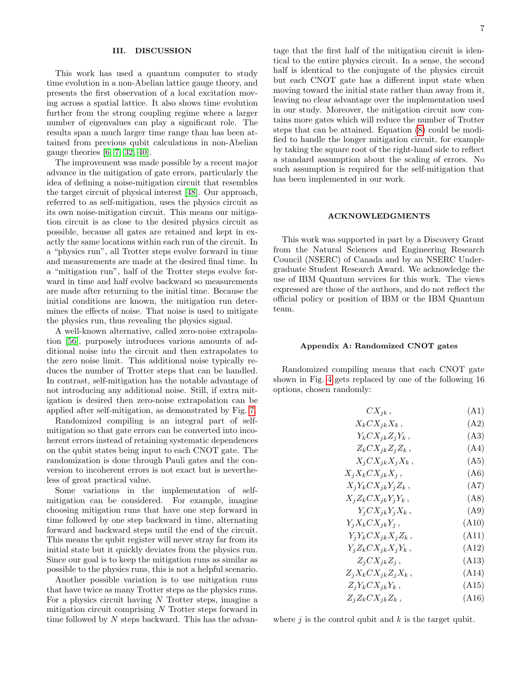# <span id="page-6-0"></span>III. DISCUSSION

This work has used a quantum computer to study time evolution in a non-Abelian lattice gauge theory, and presents the first observation of a local excitation moving across a spatial lattice. It also shows time evolution further from the strong coupling regime where a larger number of eigenvalues can play a significant role. The results span a much larger time range than has been attained from previous qubit calculations in non-Abelian gauge theories  $[6, 7, 32, 40]$  $[6, 7, 32, 40]$  $[6, 7, 32, 40]$  $[6, 7, 32, 40]$ .

The improvement was made possible by a recent major advance in the mitigation of gate errors, particularly the idea of defining a noise-mitigation circuit that resembles the target circuit of physical interest [\[48\]](#page-9-5). Our approach, referred to as self-mitigation, uses the physics circuit as its own noise-mitigation circuit. This means our mitigation circuit is as close to the desired physics circuit as possible, because all gates are retained and kept in exactly the same locations within each run of the circuit. In a "physics run", all Trotter steps evolve forward in time and measurements are made at the desired final time. In a "mitigation run", half of the Trotter steps evolve forward in time and half evolve backward so measurements are made after returning to the initial time. Because the initial conditions are known, the mitigation run determines the effects of noise. That noise is used to mitigate the physics run, thus revealing the physics signal.

A well-known alternative, called zero-noise extrapolation [\[56\]](#page-9-12), purposely introduces various amounts of additional noise into the circuit and then extrapolates to the zero noise limit. This additional noise typically reduces the number of Trotter steps that can be handled. In contrast, self-mitigation has the notable advantage of not introducing any additional noise. Still, if extra mitigation is desired then zero-noise extrapolation can be applied after self-mitigation, as demonstrated by Fig. [7.](#page-5-1)

Randomized compiling is an integral part of selfmitigation so that gate errors can be converted into incoherent errors instead of retaining systematic dependences on the qubit states being input to each CNOT gate. The randomization is done through Pauli gates and the conversion to incoherent errors is not exact but is nevertheless of great practical value.

Some variations in the implementation of selfmitigation can be considered. For example, imagine choosing mitigation runs that have one step forward in time followed by one step backward in time, alternating forward and backward steps until the end of the circuit. This means the qubit register will never stray far from its initial state but it quickly deviates from the physics run. Since our goal is to keep the mitigation runs as similar as possible to the physics runs, this is not a helpful scenario.

Another possible variation is to use mitigation runs that have twice as many Trotter steps as the physics runs. For a physics circuit having  $N$  Trotter steps, imagine a mitigation circuit comprising N Trotter steps forward in time followed by N steps backward. This has the advantage that the first half of the mitigation circuit is identical to the entire physics circuit. In a sense, the second half is identical to the conjugate of the physics circuit but each CNOT gate has a different input state when moving toward the initial state rather than away from it, leaving no clear advantage over the implementation used in our study. Moreover, the mitigation circuit now contains more gates which will reduce the number of Trotter steps that can be attained. Equation [\(8\)](#page-3-0) could be modified to handle the longer mitigation circuit, for example by taking the square root of the right-hand side to reflect a standard assumption about the scaling of errors. No such assumption is required for the self-mitigation that has been implemented in our work.

### ACKNOWLEDGMENTS

This work was supported in part by a Discovery Grant from the Natural Sciences and Engineering Research Council (NSERC) of Canada and by an NSERC Undergraduate Student Research Award. We acknowledge the use of IBM Quantum services for this work. The views expressed are those of the authors, and do not reflect the official policy or position of IBM or the IBM Quantum team.

#### <span id="page-6-1"></span>Appendix A: Randomized CNOT gates

Randomized compiling means that each CNOT gate shown in Fig. [4](#page-3-1) gets replaced by one of the following 16 options, chosen randomly:

| $CX_{jk}$ ,                                                                | (A1)  |
|----------------------------------------------------------------------------|-------|
| $X_k C X_{jk} X_k$ ,                                                       | (A2)  |
| $Y_k C X_{jk} Z_j Y_k$ ,                                                   | (A3)  |
| $Z_k C X_{jk} Z_j Z_k$ ,                                                   | (A4)  |
| $X_j C X_{jk} X_j X_k$ ,                                                   | (A5)  |
| $X_i X_k C X_{jk} X_j$ ,                                                   | (A6)  |
| $\mathcal{X}_i\mathcal{Y}_k C\mathcal{X}_{jk}\mathcal{Y}_j\mathcal{Z}_k$ , | (A7)  |
| $X_j Z_k C X_{jk} Y_j Y_k$ ,                                               | (AB)  |
| $Y_i C X_{jk} Y_j X_k$ ,                                                   | (A9)  |
| $Y_i X_k C X_{jk} Y_j$ ,                                                   | (A10) |
| $Y_i Y_k C X_{jk} X_j Z_k$ ,                                               | (A11) |
| $Y_i Z_k C X_{jk} X_j Y_k$ ,                                               | (A12) |
| $Z_i C X_{jk} Z_j$ ,                                                       | (A13) |
| $Z_j X_k C X_{jk} Z_j X_k$ ,                                               | (A14) |
| $Z_i Y_k C X_{jk} Y_k$ ,                                                   | (A15) |
| $Z_i Z_k C X_{jk} Z_k$ ,                                                   | (A16) |

where  $j$  is the control qubit and  $k$  is the target qubit.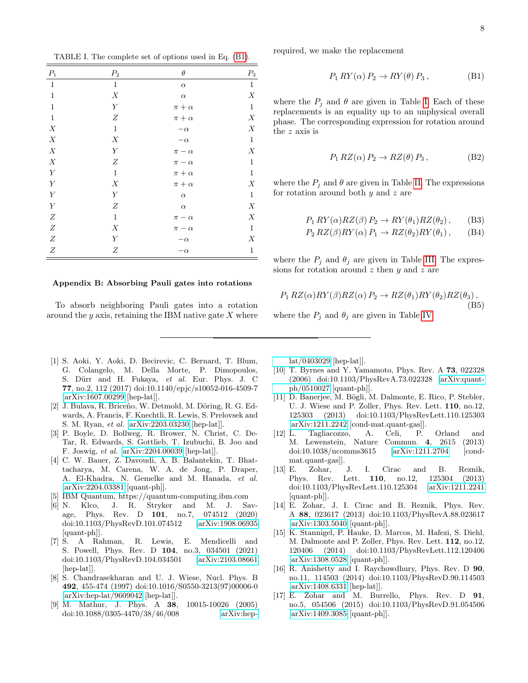<span id="page-7-10"></span>TABLE I. The complete set of options used in Eq. [\(B1\)](#page-7-9).

| $P_1$            | $\mathcal{P}_2$  | $\theta$       | $\mathcal{P}_3$  |
|------------------|------------------|----------------|------------------|
| $\mathbf{1}$     | $\mathbf{1}$     | $\alpha$       | $\mathbf{1}$     |
| $\,1$            | $\boldsymbol{X}$ | $\alpha$       | $\boldsymbol{X}$ |
| $\,1$            | $\boldsymbol{Y}$ | $\pi+\alpha$   | $\,1$            |
| $\,1\,$          | $\boldsymbol{Z}$ | $\pi+\alpha$   | $\boldsymbol{X}$ |
| X                | $\,1$            | $-\alpha$      | $\boldsymbol{X}$ |
| $\boldsymbol{X}$ | $\boldsymbol{X}$ | $-\alpha$      | $\,1$            |
| X                | $\boldsymbol{Y}$ | $\pi - \alpha$ | $\boldsymbol{X}$ |
| $\boldsymbol{X}$ | $\boldsymbol{Z}$ | $\pi-\alpha$   | $\,1\,$          |
| $\boldsymbol{Y}$ | $\mathbf 1$      | $\pi+\alpha$   | $\mathbf 1$      |
| $\overline{Y}$   | $\boldsymbol{X}$ | $\pi+\alpha$   | $\boldsymbol{X}$ |
| $\overline{Y}$   | $\boldsymbol{Y}$ | $\alpha$       | $\,1$            |
| $\overline{Y}$   | $\boldsymbol{Z}$ | $\alpha$       | $\boldsymbol{X}$ |
| $\overline{Z}$   | $\,1$            | $\pi - \alpha$ | $\boldsymbol{X}$ |
| $\boldsymbol{Z}$ | $\boldsymbol{X}$ | $\pi-\alpha$   | $\,1\,$          |
| $\boldsymbol{Z}$ | $\boldsymbol{Y}$ | $-\alpha$      | $\boldsymbol{X}$ |
| $\boldsymbol{Z}$ | $\boldsymbol{Z}$ | $-\alpha$      | $\mathbf{1}$     |

### <span id="page-7-8"></span>Appendix B: Absorbing Pauli gates into rotations

To absorb neighboring Pauli gates into a rotation around the  $y$  axis, retaining the IBM native gate  $X$  where

- <span id="page-7-0"></span>[1] S. Aoki, Y. Aoki, D. Becirevic, C. Bernard, T. Blum, G. Colangelo, M. Della Morte, P. Dimopoulos, S. Dürr and H. Fukaya, et al. Eur. Phys. J. C 77, no.2, 112 (2017) doi:10.1140/epjc/s10052-016-4509-7 [\[arXiv:1607.00299](http://arxiv.org/abs/1607.00299) [hep-lat]].
- <span id="page-7-1"></span>[2] J. Bulava, R. Briceño, W. Detmold, M. Döring, R. G. Edwards, A. Francis, F. Knechtli, R. Lewis, S. Prelovsek and S. M. Ryan, et al. [\[arXiv:2203.03230](http://arxiv.org/abs/2203.03230) [hep-lat]].
- <span id="page-7-2"></span>[3] P. Boyle, D. Bollweg, R. Brower, N. Christ, C. De-Tar, R. Edwards, S. Gottlieb, T. Izubuchi, B. Joo and F. Joswig, et al. [\[arXiv:2204.00039](http://arxiv.org/abs/2204.00039) [hep-lat]].
- <span id="page-7-3"></span>[4] C. W. Bauer, Z. Davoudi, A. B. Balantekin, T. Bhattacharya, M. Carena, W. A. de Jong, P. Draper, A. El-Khadra, N. Gemelke and M. Hanada, et al. [\[arXiv:2204.03381](http://arxiv.org/abs/2204.03381) [quant-ph]].
- <span id="page-7-4"></span>[5] IBM Quantum, https://quantum-computing.ibm.com
- <span id="page-7-5"></span>[6] N. Klco, J. R. Stryker and M. J. Savage, Phys. Rev. D 101, no.7, 074512 (2020) doi:10.1103/PhysRevD.101.074512 [\[arXiv:1908.06935](http://arxiv.org/abs/1908.06935) [quant-ph]].
- <span id="page-7-6"></span>[7] S. A Rahman, R. Lewis, E. Mendicelli and S. Powell, Phys. Rev. D 104, no.3, 034501 (2021) doi:10.1103/PhysRevD.104.034501 [\[arXiv:2103.08661](http://arxiv.org/abs/2103.08661) [hep-lat]].
- <span id="page-7-7"></span>[8] S. Chandrasekharan and U. J. Wiese, Nucl. Phys. B 492, 455-474 (1997) doi:10.1016/S0550-3213(97)00006-0 [\[arXiv:hep-lat/9609042](http://arxiv.org/abs/hep-lat/9609042) [hep-lat]].
- [9] M. Mathur, J. Phys. A 38, 10015-10026 (2005) doi:10.1088/0305-4470/38/46/008 [\[arXiv:hep-](http://arxiv.org/abs/hep-lat/0403029)

required, we make the replacement

<span id="page-7-9"></span>
$$
P_1 \, RY(\alpha) \, P_2 \to RY(\theta) \, P_3 \,, \tag{B1}
$$

where the  $P_j$  and  $\theta$  are given in Table [I.](#page-7-10) Each of these replacements is an equality up to an unphysical overall phase. The corresponding expression for rotation around the z axis is

<span id="page-7-11"></span>
$$
P_1 RZ(\alpha) P_2 \to RZ(\theta) P_3 , \qquad (B2)
$$

where the  $P_j$  and  $\theta$  are given in Table [II.](#page-8-0) The expressions for rotation around both  $y$  and  $z$  are

<span id="page-7-12"></span>
$$
P_1 \, RY(\alpha) RZ(\beta) P_2 \to RY(\theta_1) RZ(\theta_2) \,, \qquad \text{(B3)}
$$

<span id="page-7-13"></span>
$$
P_2 RZ(\beta) RY(\alpha) P_1 \to RZ(\theta_2) RY(\theta_1), \quad \text{(B4)}
$$

where the  $P_j$  and  $\theta_j$  are given in Table [III.](#page-8-1) The expressions for rotation around  $z$  then  $y$  and  $z$  are

$$
P_1 RZ(\alpha) RY(\beta) RZ(\alpha) P_2 \to RZ(\theta_1) RY(\theta_2) RZ(\theta_3),
$$
\n(B5)

where the  $P_i$  and  $\theta_i$  are given in Table [IV.](#page-8-2)

[lat/0403029](http://arxiv.org/abs/hep-lat/0403029) [hep-lat]].

- [10] T. Byrnes and Y. Yamamoto, Phys. Rev. A 73, 022328 (2006) doi:10.1103/PhysRevA.73.022328 [\[arXiv:quant](http://arxiv.org/abs/quant-ph/0510027)[ph/0510027](http://arxiv.org/abs/quant-ph/0510027) [quant-ph]].
- [11] D. Banerjee, M. Bögli, M. Dalmonte, E. Rico, P. Stebler, U. J. Wiese and P. Zoller, Phys. Rev. Lett. 110, no.12, 125303 (2013) doi:10.1103/PhysRevLett.110.125303 [\[arXiv:1211.2242](http://arxiv.org/abs/1211.2242) [cond-mat.quant-gas]].
- [12] L. Tagliacozzo, A. Celi, P. Orland and M. Lewenstein, Nature Commun. 4, 2615 (2013) doi:10.1038/ncomms3615 [\[arXiv:1211.2704](http://arxiv.org/abs/1211.2704) [condmat.quant-gas]].
- [13] E. Zohar, J. I. Cirac and B. Reznik, Phys. Rev. Lett. 110, no.12, 125304 (2013) doi:10.1103/PhysRevLett.110.125304 [\[arXiv:1211.2241](http://arxiv.org/abs/1211.2241) [quant-ph]].
- [14] E. Zohar, J. I. Cirac and B. Reznik, Phys. Rev. A 88, 023617 (2013) doi:10.1103/PhysRevA.88.023617 [\[arXiv:1303.5040](http://arxiv.org/abs/1303.5040) [quant-ph]].
- [15] K. Stannigel, P. Hauke, D. Marcos, M. Hafezi, S. Diehl, M. Dalmonte and P. Zoller, Phys. Rev. Lett. 112, no.12, 120406 (2014) doi:10.1103/PhysRevLett.112.120406 [\[arXiv:1308.0528](http://arxiv.org/abs/1308.0528) [quant-ph]].
- [16] R. Anishetty and I. Raychowdhury, Phys. Rev. D 90, no.11, 114503 (2014) doi:10.1103/PhysRevD.90.114503 [\[arXiv:1408.6331](http://arxiv.org/abs/1408.6331) [hep-lat]].
- [17] E. Zohar and M. Burrello, Phys. Rev. D 91, no.5, 054506 (2015) doi:10.1103/PhysRevD.91.054506 [\[arXiv:1409.3085](http://arxiv.org/abs/1409.3085) [quant-ph]].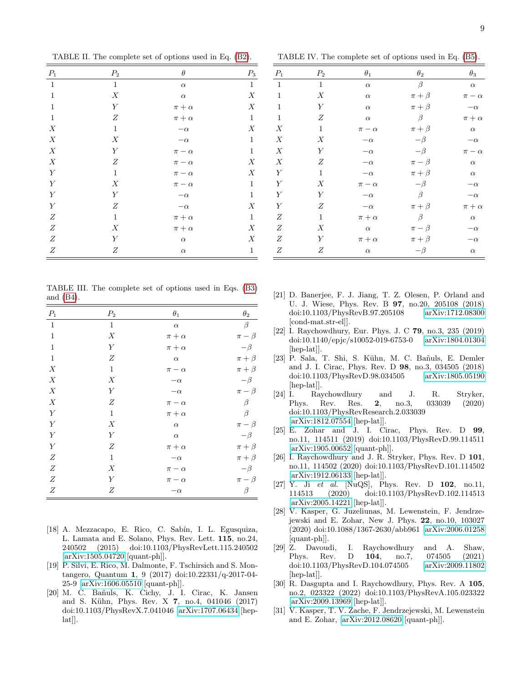<span id="page-8-0"></span>TABLE II. The complete set of options used in Eq. [\(B2\)](#page-7-11).

| $P_1$            | P <sub>2</sub>   | $\theta$       | $P_3$            |
|------------------|------------------|----------------|------------------|
| $\mathbf{1}$     | $\mathbf{1}$     | $\alpha$       | $\mathbf{1}$     |
| $\,1\,$          | $\boldsymbol{X}$ | $\alpha$       | $\boldsymbol{X}$ |
| $\,1\,$          | $\boldsymbol{Y}$ | $\pi+\alpha$   | $\boldsymbol{X}$ |
| $\,1\,$          | $\boldsymbol{Z}$ | $\pi + \alpha$ | $\,1\,$          |
| $\boldsymbol{X}$ | $\,1\,$          | $-\alpha$      | $\boldsymbol{X}$ |
| $\boldsymbol{X}$ | $\boldsymbol{X}$ | $-\alpha$      | $\,1\,$          |
| $\boldsymbol{X}$ | $\boldsymbol{Y}$ | $\pi - \alpha$ | $\,1\,$          |
| $\boldsymbol{X}$ | $\boldsymbol{Z}$ | $\pi-\alpha$   | $\boldsymbol{X}$ |
| $\boldsymbol{Y}$ | $\,1\,$          | $\pi-\alpha$   | ${\cal X}$       |
| $\boldsymbol{Y}$ | $\boldsymbol{X}$ | $\pi-\alpha$   | $\,1\,$          |
| $\bar{Y}$        | $\boldsymbol{Y}$ | $-\alpha$      | $\,1$            |
| $\boldsymbol{Y}$ | $\boldsymbol{Z}$ | $-\alpha$      | $\boldsymbol{X}$ |
| $\boldsymbol{Z}$ | $\mathbf{1}$     | $\pi+\alpha$   | $\,1\,$          |
| $\boldsymbol{Z}$ | $\boldsymbol{X}$ | $\pi+\alpha$   | ${\cal X}$       |
| $\boldsymbol{Z}$ | $\boldsymbol{Y}$ | $\alpha$       | ${\cal X}$       |
| $\boldsymbol{Z}$ | $\boldsymbol{Z}$ | $\alpha$       | $\,1\,$          |

<span id="page-8-1"></span>TABLE III. The complete set of options used in Eqs. [\(B3\)](#page-7-12) and [\(B4\)](#page-7-12).

| $P_1$            | $P_2$            | $\theta_1$     | $\theta_2$    |
|------------------|------------------|----------------|---------------|
| $\,1\,$          | $\mathbf{1}$     | $\alpha$       | $\beta$       |
| $\,1\,$          | $\boldsymbol{X}$ | $\pi + \alpha$ | $\pi - \beta$ |
| $1\,$            | $\boldsymbol{Y}$ | $\pi + \alpha$ | $-\beta$      |
| $\,1\,$          | $\boldsymbol{Z}$ | $\alpha$       | $\pi + \beta$ |
| X                | $\mathbf{1}$     | $\pi - \alpha$ | $\pi + \beta$ |
| $\boldsymbol{X}$ | X                | $-\alpha$      | $-\beta$      |
| $\boldsymbol{X}$ | Y                | $-\alpha$      | $\pi - \beta$ |
| $\boldsymbol{X}$ | $\boldsymbol{Z}$ | $\pi-\alpha$   | $\beta$       |
| $\boldsymbol{Y}$ | $\mathbf{1}$     | $\pi + \alpha$ | $\beta$       |
| $\overline{Y}$   | $\boldsymbol{X}$ | $\alpha$       | $\pi - \beta$ |
| $\overline{Y}$   | $\boldsymbol{Y}$ | $\alpha$       | $-\beta$      |
| $\boldsymbol{Y}$ | $\boldsymbol{Z}$ | $\pi + \alpha$ | $\pi + \beta$ |
| $\overline{Z}$   | $\mathbf{1}$     | $-\alpha$      | $\pi + \beta$ |
| $\boldsymbol{Z}$ | X                | $\pi-\alpha$   | $-\beta$      |
| $\boldsymbol{Z}$ | Y                | $\pi - \alpha$ | $\pi-\beta$   |
| $\boldsymbol{Z}$ | $\boldsymbol{Z}$ | $-\alpha$      | $\beta$       |

- [18] A. Mezzacapo, E. Rico, C. Sabín, I. L. Egusquiza, L. Lamata and E. Solano, Phys. Rev. Lett. 115, no.24, 240502 (2015) doi:10.1103/PhysRevLett.115.240502 [\[arXiv:1505.04720](http://arxiv.org/abs/1505.04720) [quant-ph]].
- [19] P. Silvi, E. Rico, M. Dalmonte, F. Tschirsich and S. Montangero, Quantum 1, 9 (2017) doi:10.22331/q-2017-04- 25-9 [\[arXiv:1606.05510](http://arxiv.org/abs/1606.05510) [quant-ph]].
- [20] M. C. Ba˜nuls, K. Cichy, J. I. Cirac, K. Jansen and S. Kühn, Phys. Rev. X 7, no.4, 041046 (2017) doi:10.1103/PhysRevX.7.041046 [\[arXiv:1707.06434](http://arxiv.org/abs/1707.06434) [hep- $\lbrack \text{lat} \rbrack$ .

<span id="page-8-2"></span>TABLE IV. The complete set of options used in Eq. [\(B5\)](#page-7-13).

| $P_1$            | $P_2$            | $\theta_1$     | $\theta_2$    | $\theta_3$     |
|------------------|------------------|----------------|---------------|----------------|
| $\mathbf{1}$     | $\mathbf{1}$     | $\alpha$       | $\beta$       | $\alpha$       |
| $\mathbf{1}$     | X                | $\alpha$       | $\pi + \beta$ | $\pi - \alpha$ |
| $\mathbf{1}$     | Y                | $\alpha$       | $\pi + \beta$ | $-\alpha$      |
| $\,1$            | Ζ                | $\alpha$       | $\beta$       | $\pi+\alpha$   |
| $\boldsymbol{X}$ | $\mathbf{1}$     | $\pi - \alpha$ | $\pi + \beta$ | $\alpha$       |
| X                | X                | $-\alpha$      | $-\beta$      | $-\alpha$      |
| $\boldsymbol{X}$ | $\boldsymbol{Y}$ | $-\alpha$      | $-\beta$      | $\pi - \alpha$ |
| $\boldsymbol{X}$ | Ζ                | $-\alpha$      | $\pi - \beta$ | $\alpha$       |
| $\boldsymbol{Y}$ | $\mathbf{1}$     | $-\alpha$      | $\pi + \beta$ | $\alpha$       |
| $\boldsymbol{Y}$ | Х                | $\pi - \alpha$ | $-\beta$      | $-\alpha$      |
| $\boldsymbol{Y}$ | Υ                | $-\alpha$      | $\beta$       | $-\alpha$      |
| $\boldsymbol{Y}$ | Ζ                | $-\alpha$      | $\pi + \beta$ | $\pi + \alpha$ |
| $\boldsymbol{Z}$ | $\mathbf{1}$     | $\pi + \alpha$ | $\beta$       | $\alpha$       |
| $\boldsymbol{Z}$ | X                | $\alpha$       | $\pi - \beta$ | $-\alpha$      |
| $\boldsymbol{Z}$ | Υ                | $\pi + \alpha$ | $\pi + \beta$ | $-\alpha$      |
| $\boldsymbol{Z}$ | Ζ                | $\alpha$       | $-\beta$      | $\alpha$       |

- [21] D. Banerjee, F. J. Jiang, T. Z. Olesen, P. Orland and U. J. Wiese, Phys. Rev. B 97, no.20, 205108 (2018) doi:10.1103/PhysRevB.97.205108 [\[arXiv:1712.08300](http://arxiv.org/abs/1712.08300) [cond-mat.str-el]].
- [22] I. Raychowdhury, Eur. Phys. J. C 79, no.3, 235 (2019) doi:10.1140/epjc/s10052-019-6753-0 [\[arXiv:1804.01304](http://arxiv.org/abs/1804.01304) [hep-lat]].
- [23] P. Sala, T. Shi, S. Kühn, M. C. Bañuls, E. Demler and J. I. Cirac, Phys. Rev. D 98, no.3, 034505 (2018) doi:10.1103/PhysRevD.98.034505 [\[arXiv:1805.05190](http://arxiv.org/abs/1805.05190) [hep-lat]].
- [24] I. Raychowdhury and J. R. Stryker, Phys. Rev. Res. 2, no.3, 033039 (2020) doi:10.1103/PhysRevResearch.2.033039 [\[arXiv:1812.07554](http://arxiv.org/abs/1812.07554) [hep-lat]].
- [25] E. Zohar and J. I. Cirac, Phys. Rev. D 99, no.11, 114511 (2019) doi:10.1103/PhysRevD.99.114511 [\[arXiv:1905.00652](http://arxiv.org/abs/1905.00652) [quant-ph]].
- [26] I. Raychowdhury and J. R. Stryker, Phys. Rev. D 101, no.11, 114502 (2020) doi:10.1103/PhysRevD.101.114502 [\[arXiv:1912.06133](http://arxiv.org/abs/1912.06133) [hep-lat]].
- [27] Y. Ji et al. [NuQS], Phys. Rev. D  $102$ , no.11, 114513 (2020) doi:10.1103/PhysRevD.102.114513 [\[arXiv:2005.14221](http://arxiv.org/abs/2005.14221) [hep-lat]].
- [28] V. Kasper, G. Juzeliunas, M. Lewenstein, F. Jendrzejewski and E. Zohar, New J. Phys. 22, no.10, 103027 (2020) doi:10.1088/1367-2630/abb961 [\[arXiv:2006.01258](http://arxiv.org/abs/2006.01258) [quant-ph]].
- [29] Z. Davoudi, I. Raychowdhury and A. Shaw, Phys. Rev. D 104, no.7, 074505 (2021) doi:10.1103/PhysRevD.104.074505 [\[arXiv:2009.11802](http://arxiv.org/abs/2009.11802) [hep-lat]].
- [30] R. Dasgupta and I. Raychowdhury, Phys. Rev. A 105, no.2, 023322 (2022) doi:10.1103/PhysRevA.105.023322 [\[arXiv:2009.13969](http://arxiv.org/abs/2009.13969) [hep-lat]].
- [31] V. Kasper, T. V. Zache, F. Jendrzejewski, M. Lewenstein and E. Zohar, [\[arXiv:2012.08620](http://arxiv.org/abs/2012.08620) [quant-ph]].